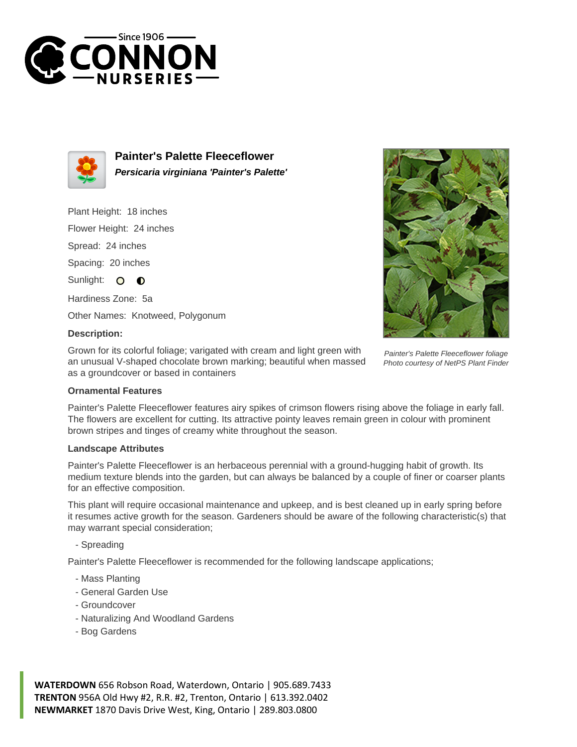



**Painter's Palette Fleeceflower Persicaria virginiana 'Painter's Palette'**

Plant Height: 18 inches

Flower Height: 24 inches

Spread: 24 inches

Spacing: 20 inches

Sunlight: O  $\bullet$ 

Hardiness Zone: 5a

Other Names: Knotweed, Polygonum

## **Description:**

Grown for its colorful foliage; varigated with cream and light green with an unusual V-shaped chocolate brown marking; beautiful when massed as a groundcover or based in containers



Photo courtesy of NetPS Plant Finder

## **Ornamental Features**

Painter's Palette Fleeceflower features airy spikes of crimson flowers rising above the foliage in early fall. The flowers are excellent for cutting. Its attractive pointy leaves remain green in colour with prominent brown stripes and tinges of creamy white throughout the season.

## **Landscape Attributes**

Painter's Palette Fleeceflower is an herbaceous perennial with a ground-hugging habit of growth. Its medium texture blends into the garden, but can always be balanced by a couple of finer or coarser plants for an effective composition.

This plant will require occasional maintenance and upkeep, and is best cleaned up in early spring before it resumes active growth for the season. Gardeners should be aware of the following characteristic(s) that may warrant special consideration;

- Spreading

Painter's Palette Fleeceflower is recommended for the following landscape applications;

- Mass Planting
- General Garden Use
- Groundcover
- Naturalizing And Woodland Gardens
- Bog Gardens

**WATERDOWN** 656 Robson Road, Waterdown, Ontario | 905.689.7433 **TRENTON** 956A Old Hwy #2, R.R. #2, Trenton, Ontario | 613.392.0402 **NEWMARKET** 1870 Davis Drive West, King, Ontario | 289.803.0800